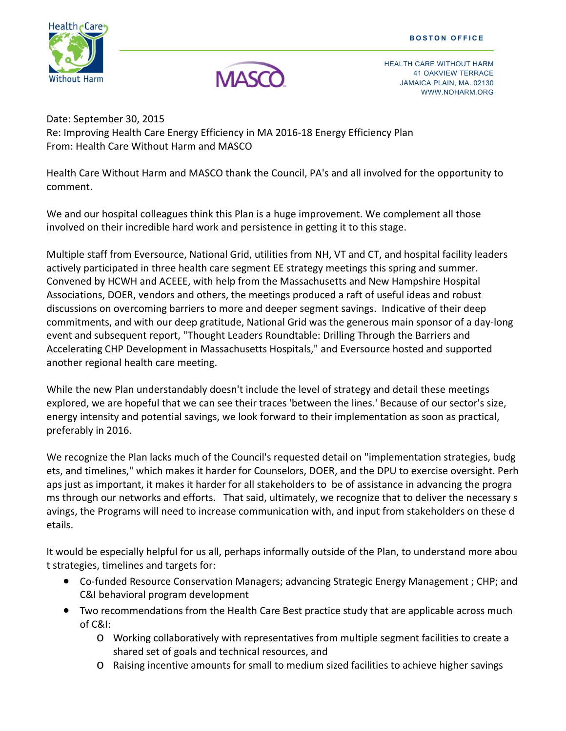



HEALTH CARE WITHOUT HARM 41 OAKVIEW TERRACE JAMAICA PLAIN, MA. 02130 WEISEL HEITHER STREET IN THE STREET WAS UPPER UPPER TO MAKE A MAIL OF THE STREET WAS UPPER UPPER UPPER UPPER TO A STREET IN THE STREET OF THE STREET OF THE STREET OF THE STREET OF THE STREET OF THE STREET OF THE STREET OF

Date: September 30, 2015 Re: Improving Health Care Energy Efficiency in MA 2016‐18 Energy Efficiency Plan From: Health Care Without Harm and MASCO

Health Care Without Harm and MASCO thank the Council, PA's and all involved for the opportunity to comment.

We and our hospital colleagues think this Plan is a huge improvement. We complement all those involved on their incredible hard work and persistence in getting it to this stage.

Multiple staff from Eversource, National Grid, utilities from NH, VT and CT, and hospital facility leaders actively participated in three health care segment EE strategy meetings this spring and summer. Convened by HCWH and ACEEE, with help from the Massachusetts and New Hampshire Hospital Associations, DOER, vendors and others, the meetings produced a raft of useful ideas and robust discussions on overcoming barriers to more and deeper segment savings. Indicative of their deep commitments, and with our deep gratitude, National Grid was the generous main sponsor of a day‐long event and subsequent report, "Thought Leaders Roundtable: Drilling Through the Barriers and Accelerating CHP Development in Massachusetts Hospitals," and Eversource hosted and supported another regional health care meeting.

While the new Plan understandably doesn't include the level of strategy and detail these meetings explored, we are hopeful that we can see their traces 'between the lines.' Because of our sector's size, energy intensity and potential savings, we look forward to their implementation as soon as practical, preferably in 2016.

We recognize the Plan lacks much of the Council's requested detail on "implementation strategies, budg ets, and timelines," which makes it harder for Counselors, DOER, and the DPU to exercise oversight. Perh aps just as important, it makes it harder for all stakeholders to be of assistance in advancing the progra ms through our networks and efforts. That said, ultimately, we recognize that to deliver the necessary s avings, the Programs will need to increase communication with, and input from stakeholders on these d etails.

It would be especially helpful for us all, perhaps informally outside of the Plan, to understand more abou t strategies, timelines and targets for:

- Co-funded Resource Conservation Managers; advancing Strategic Energy Management ; CHP; and C&I behavioral program development
- Two recommendations from the Health Care Best practice study that are applicable across much of C&I:
	- o Working collaboratively with representatives from multiple segment facilities to create a shared set of goals and technical resources, and
	- o Raising incentive amounts for small to medium sized facilities to achieve higher savings